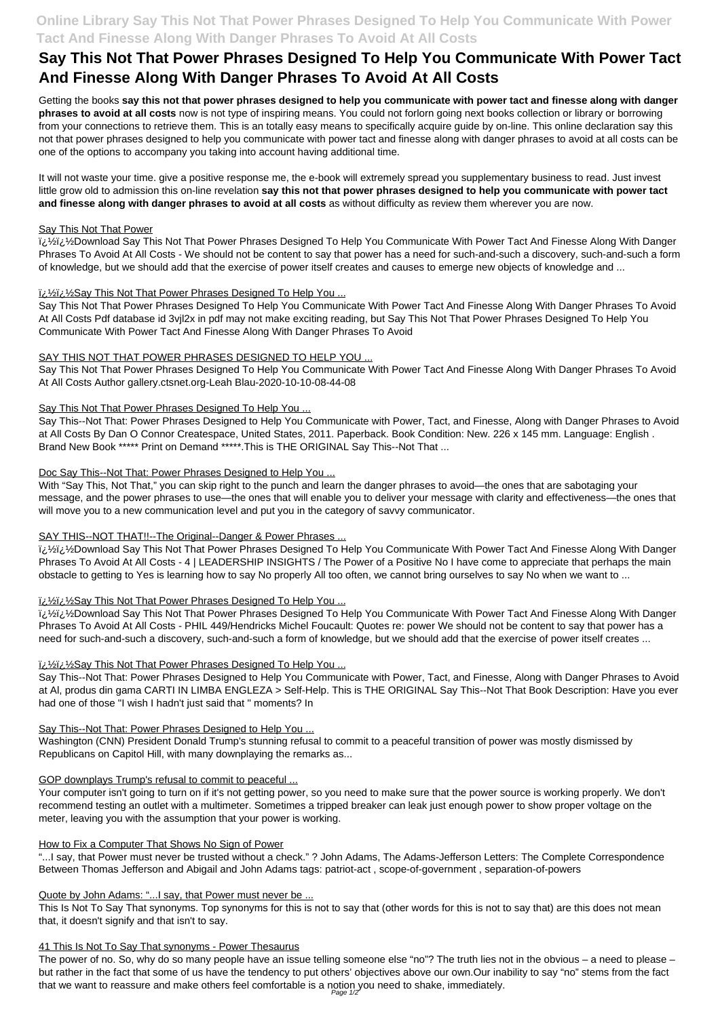## **Online Library Say This Not That Power Phrases Designed To Help You Communicate With Power Tact And Finesse Along With Danger Phrases To Avoid At All Costs**

# **Say This Not That Power Phrases Designed To Help You Communicate With Power Tact And Finesse Along With Danger Phrases To Avoid At All Costs**

Getting the books **say this not that power phrases designed to help you communicate with power tact and finesse along with danger phrases to avoid at all costs** now is not type of inspiring means. You could not forlorn going next books collection or library or borrowing from your connections to retrieve them. This is an totally easy means to specifically acquire guide by on-line. This online declaration say this not that power phrases designed to help you communicate with power tact and finesse along with danger phrases to avoid at all costs can be one of the options to accompany you taking into account having additional time.

لِ $\frac{1}{2}$ Si Wellownload Say This Not That Power Phrases Designed To Help You Communicate With Power Tact And Finesse Along With Danger Phrases To Avoid At All Costs - We should not be content to say that power has a need for such-and-such a discovery, such-and-such a form of knowledge, but we should add that the exercise of power itself creates and causes to emerge new objects of knowledge and ...

## ii. 1/2 ii. 1/2 Say This Not That Power Phrases Designed To Help You ...

It will not waste your time. give a positive response me, the e-book will extremely spread you supplementary business to read. Just invest little grow old to admission this on-line revelation **say this not that power phrases designed to help you communicate with power tact and finesse along with danger phrases to avoid at all costs** as without difficulty as review them wherever you are now.

## Say This Not That Power

With "Say This, Not That," you can skip right to the punch and learn the danger phrases to avoid—the ones that are sabotaging your message, and the power phrases to use—the ones that will enable you to deliver your message with clarity and effectiveness—the ones that will move you to a new communication level and put you in the category of savvy communicator.

## SAY THIS--NOT THAT!!--The Original--Danger & Power Phrases ...

لِ $\frac{1}{2}$ Si Wellownload Say This Not That Power Phrases Designed To Help You Communicate With Power Tact And Finesse Along With Danger Phrases To Avoid At All Costs - 4 | LEADERSHIP INSIGHTS / The Power of a Positive No I have come to appreciate that perhaps the main obstacle to getting to Yes is learning how to say No properly All too often, we cannot bring ourselves to say No when we want to ...

## ii. 1/2 ii. 1/2 Say This Not That Power Phrases Designed To Help You ...

Say This Not That Power Phrases Designed To Help You Communicate With Power Tact And Finesse Along With Danger Phrases To Avoid At All Costs Pdf database id 3vjl2x in pdf may not make exciting reading, but Say This Not That Power Phrases Designed To Help You Communicate With Power Tact And Finesse Along With Danger Phrases To Avoid

لِمَاتِينَ ⁄2Download Say This Not That Power Phrases Designed To Help You Communicate With Power Tact And Finesse Along With Danger Phrases To Avoid At All Costs - PHIL 449/Hendricks Michel Foucault: Quotes re: power We should not be content to say that power has a need for such-and-such a discovery, such-and-such a form of knowledge, but we should add that the exercise of power itself creates ...

## ii. 1/2 ii. 1/2 Say This Not That Power Phrases Designed To Help You ...

## SAY THIS NOT THAT POWER PHRASES DESIGNED TO HELP YOU ...

Say This Not That Power Phrases Designed To Help You Communicate With Power Tact And Finesse Along With Danger Phrases To Avoid At All Costs Author gallery.ctsnet.org-Leah Blau-2020-10-10-08-44-08

## Say This Not That Power Phrases Designed To Help You ...

Say This--Not That: Power Phrases Designed to Help You Communicate with Power, Tact, and Finesse, Along with Danger Phrases to Avoid at All Costs By Dan O Connor Createspace, United States, 2011. Paperback. Book Condition: New. 226 x 145 mm. Language: English . Brand New Book \*\*\*\*\* Print on Demand \*\*\*\*\*.This is THE ORIGINAL Say This--Not That ...

## Doc Say This--Not That: Power Phrases Designed to Help You ...

Say This--Not That: Power Phrases Designed to Help You Communicate with Power, Tact, and Finesse, Along with Danger Phrases to Avoid at Al, produs din gama CARTI IN LIMBA ENGLEZA > Self-Help. This is THE ORIGINAL Say This--Not That Book Description: Have you ever had one of those "I wish I hadn't just said that " moments? In

## Say This--Not That: Power Phrases Designed to Help You ...

Washington (CNN) President Donald Trump's stunning refusal to commit to a peaceful transition of power was mostly dismissed by Republicans on Capitol Hill, with many downplaying the remarks as...

#### GOP downplays Trump's refusal to commit to peaceful ...

Your computer isn't going to turn on if it's not getting power, so you need to make sure that the power source is working properly. We don't recommend testing an outlet with a multimeter. Sometimes a tripped breaker can leak just enough power to show proper voltage on the meter, leaving you with the assumption that your power is working.

#### How to Fix a Computer That Shows No Sign of Power

"...I say, that Power must never be trusted without a check." ? John Adams, The Adams-Jefferson Letters: The Complete Correspondence Between Thomas Jefferson and Abigail and John Adams tags: patriot-act , scope-of-government , separation-of-powers

#### Quote by John Adams: "... I say, that Power must never be ...

This Is Not To Say That synonyms. Top synonyms for this is not to say that (other words for this is not to say that) are this does not mean that, it doesn't signify and that isn't to say.

#### 41 This Is Not To Say That synonyms - Power Thesaurus

The power of no. So, why do so many people have an issue telling someone else "no"? The truth lies not in the obvious – a need to please – but rather in the fact that some of us have the tendency to put others' objectives above our own.Our inability to say "no" stems from the fact that we want to reassure and make others feel comfortable is a notion you need to shake, immediately.